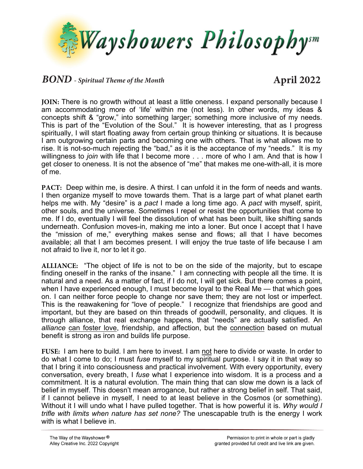

## **BOND** - Spiritual Theme of the Month **April** 2022

**JOIN:** There is no growth without at least a little oneness. I expand personally because I am accommodating more of 'life' within me (not less). In other words, my ideas & concepts shift & "grow," into something larger; something more inclusive of my needs. This is part of the "Evolution of the Soul." It is however interesting, that as I progress spiritually, I will start floating away from certain group thinking or situations. It is because I am outgrowing certain parts and becoming one with others. That is what allows me to rise. It is not-so-much rejecting the "bad," as it is the acceptance of my "needs." It is my willingness to *join* with life that I become more . . . more of who I am. And that is how I get closer to oneness. It is not the absence of "me" that makes me one-with-all, it is more of me.

**PACT:** Deep within me, is desire. A thirst. I can unfold it in the form of needs and wants. I then organize myself to move towards them. That is a large part of what planet earth helps me with. My "desire" is a *pact* I made a long time ago. A *pact* with myself, spirit, other souls, and the universe. Sometimes I repel or resist the opportunities that come to me. If I do, eventually I will feel the dissolution of what has been built, like shifting sands underneath. Confusion moves-in, making me into a loner. But once I accept that I have the "mission of me," everything makes sense and flows; all that I have becomes available; all that I am becomes present. I will enjoy the true taste of life because I am not afraid to live it, nor to let it go.

**ALLIANCE:** "The object of life is not to be on the side of the majority, but to escape finding oneself in the ranks of the insane." I am connecting with people all the time. It is natural and a need. As a matter of fact, if I do not, I will get sick. But there comes a point, when I have experienced enough, I must become loyal to the Real Me — that which goes on. I can neither force people to change nor save them; they are not lost or imperfect. This is the reawakening for "love of people." I recognize that friendships are good and important, but they are based on thin threads of goodwill, personality, and cliques. It is through alliance, that real exchange happens, that "needs" are actually satisfied. An *alliance* can foster love, friendship, and affection, but the connection based on mutual benefit is strong as iron and builds life purpose.

**FUSE:** I am here to build. I am here to invest. I am not here to divide or waste. In order to do what I come to do; I must *fuse* myself to my spiritual purpose. I say it in that way so that I bring it into consciousness and practical involvement. With every opportunity, every conversation, every breath, I *fuse* what I experience into wisdom. It is a process and a commitment. It is a natural evolution. The main thing that can slow me down is a lack of belief in myself. This doesn't mean arrogance, but rather a strong belief in self. That said, if I cannot believe in myself, I need to at least believe in the Cosmos (or something). Without it I will undo what I have pulled together. That is how powerful it is. *Why would I trifle with limits when nature has set none?* The unescapable truth is the energy I work with is what I believe in.